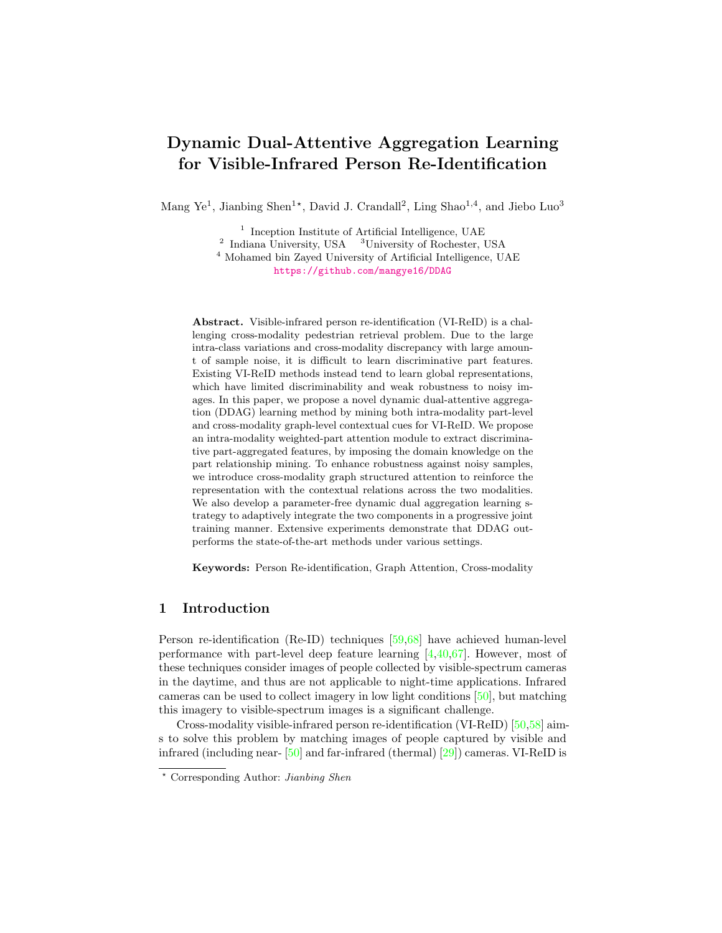# Dynamic Dual-Attentive Aggregation Learning for Visible-Infrared Person Re-Identification

Mang Ye<sup>1</sup>, Jianbing Shen<sup>1\*</sup>, David J. Crandall<sup>2</sup>, Ling Shao<sup>1,4</sup>, and Jiebo Luo<sup>3</sup>

<sup>1</sup> Inception Institute of Artificial Intelligence, UAE <sup>2</sup> Indiana University, USA <sup>3</sup>University of Rochester, USA <sup>4</sup> Mohamed bin Zayed University of Artificial Intelligence, UAE

<https://github.com/mangye16/DDAG>

Abstract. Visible-infrared person re-identification (VI-ReID) is a challenging cross-modality pedestrian retrieval problem. Due to the large intra-class variations and cross-modality discrepancy with large amount of sample noise, it is difficult to learn discriminative part features. Existing VI-ReID methods instead tend to learn global representations, which have limited discriminability and weak robustness to noisy images. In this paper, we propose a novel dynamic dual-attentive aggregation (DDAG) learning method by mining both intra-modality part-level and cross-modality graph-level contextual cues for VI-ReID. We propose an intra-modality weighted-part attention module to extract discriminative part-aggregated features, by imposing the domain knowledge on the part relationship mining. To enhance robustness against noisy samples, we introduce cross-modality graph structured attention to reinforce the representation with the contextual relations across the two modalities. We also develop a parameter-free dynamic dual aggregation learning strategy to adaptively integrate the two components in a progressive joint training manner. Extensive experiments demonstrate that DDAG outperforms the state-of-the-art methods under various settings.

Keywords: Person Re-identification, Graph Attention, Cross-modality

# 1 Introduction

Person re-identification (Re-ID) techniques [\[59,](#page-16-0)[68\]](#page-17-0) have achieved human-level performance with part-level deep feature learning [\[4,](#page-14-0)[40,](#page-15-0)[67\]](#page-17-1). However, most of these techniques consider images of people collected by visible-spectrum cameras in the daytime, and thus are not applicable to night-time applications. Infrared cameras can be used to collect imagery in low light conditions [\[50\]](#page-16-1), but matching this imagery to visible-spectrum images is a significant challenge.

Cross-modality visible-infrared person re-identification (VI-ReID) [\[50,](#page-16-1)[58\]](#page-16-2) aims to solve this problem by matching images of people captured by visible and infrared (including near- [\[50\]](#page-16-1) and far-infrared (thermal) [\[29\]](#page-15-1)) cameras. VI-ReID is

<sup>?</sup> Corresponding Author: Jianbing Shen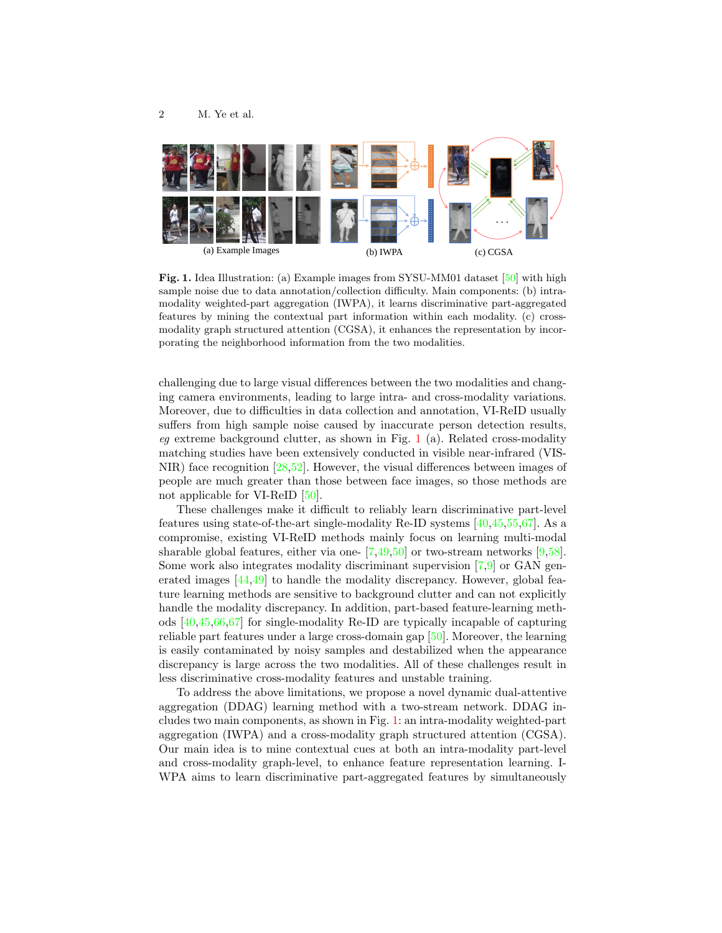

Fig. 1. Idea Illustration: (a) Example images from SYSU-MM01 dataset [\[50\]](#page-16-1) with high sample noise due to data annotation/collection difficulty. Main components: (b) intramodality weighted-part aggregation (IWPA), it learns discriminative part-aggregated features by mining the contextual part information within each modality. (c) crossmodality graph structured attention (CGSA), it enhances the representation by incorporating the neighborhood information from the two modalities.

<span id="page-1-0"></span>challenging due to large visual differences between the two modalities and changing camera environments, leading to large intra- and cross-modality variations. Moreover, due to difficulties in data collection and annotation, VI-ReID usually suffers from high sample noise caused by inaccurate person detection results, eg extreme background clutter, as shown in Fig. [1](#page-1-0) (a). Related cross-modality matching studies have been extensively conducted in visible near-infrared (VIS-NIR) face recognition  $[28,52]$  $[28,52]$ . However, the visual differences between images of people are much greater than those between face images, so those methods are not applicable for VI-ReID [\[50\]](#page-16-1).

These challenges make it difficult to reliably learn discriminative part-level features using state-of-the-art single-modality Re-ID systems [\[40](#page-15-0)[,45,](#page-16-4)[55,](#page-16-5)[67\]](#page-17-1). As a compromise, existing VI-ReID methods mainly focus on learning multi-modal sharable global features, either via one-  $[7,49,50]$  $[7,49,50]$  $[7,49,50]$  or two-stream networks  $[9,58]$  $[9,58]$ . Some work also integrates modality discriminant supervision [\[7,](#page-14-1)[9\]](#page-14-2) or GAN generated images [\[44](#page-16-7)[,49\]](#page-16-6) to handle the modality discrepancy. However, global feature learning methods are sensitive to background clutter and can not explicitly handle the modality discrepancy. In addition, part-based feature-learning methods [\[40,](#page-15-0)[45](#page-16-4)[,66](#page-17-2)[,67\]](#page-17-1) for single-modality Re-ID are typically incapable of capturing reliable part features under a large cross-domain gap [\[50\]](#page-16-1). Moreover, the learning is easily contaminated by noisy samples and destabilized when the appearance discrepancy is large across the two modalities. All of these challenges result in less discriminative cross-modality features and unstable training.

To address the above limitations, we propose a novel dynamic dual-attentive aggregation (DDAG) learning method with a two-stream network. DDAG includes two main components, as shown in Fig. [1:](#page-1-0) an intra-modality weighted-part aggregation (IWPA) and a cross-modality graph structured attention (CGSA). Our main idea is to mine contextual cues at both an intra-modality part-level and cross-modality graph-level, to enhance feature representation learning. I-WPA aims to learn discriminative part-aggregated features by simultaneously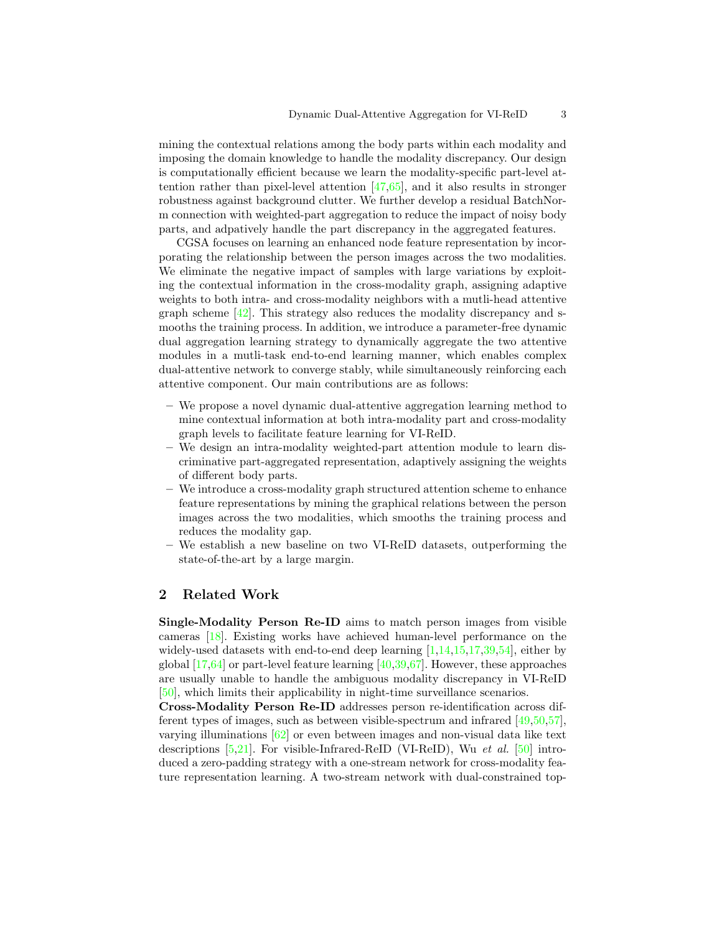mining the contextual relations among the body parts within each modality and imposing the domain knowledge to handle the modality discrepancy. Our design is computationally efficient because we learn the modality-specific part-level attention rather than pixel-level attention  $\left[47,65\right]$  $\left[47,65\right]$  $\left[47,65\right]$ , and it also results in stronger robustness against background clutter. We further develop a residual BatchNorm connection with weighted-part aggregation to reduce the impact of noisy body parts, and adpatively handle the part discrepancy in the aggregated features.

CGSA focuses on learning an enhanced node feature representation by incorporating the relationship between the person images across the two modalities. We eliminate the negative impact of samples with large variations by exploiting the contextual information in the cross-modality graph, assigning adaptive weights to both intra- and cross-modality neighbors with a mutli-head attentive graph scheme  $[42]$ . This strategy also reduces the modality discrepancy and smooths the training process. In addition, we introduce a parameter-free dynamic dual aggregation learning strategy to dynamically aggregate the two attentive modules in a mutli-task end-to-end learning manner, which enables complex dual-attentive network to converge stably, while simultaneously reinforcing each attentive component. Our main contributions are as follows:

- We propose a novel dynamic dual-attentive aggregation learning method to mine contextual information at both intra-modality part and cross-modality graph levels to facilitate feature learning for VI-ReID.
- We design an intra-modality weighted-part attention module to learn discriminative part-aggregated representation, adaptively assigning the weights of different body parts.
- We introduce a cross-modality graph structured attention scheme to enhance feature representations by mining the graphical relations between the person images across the two modalities, which smooths the training process and reduces the modality gap.
- We establish a new baseline on two VI-ReID datasets, outperforming the state-of-the-art by a large margin.

# 2 Related Work

Single-Modality Person Re-ID aims to match person images from visible cameras [\[18\]](#page-14-3). Existing works have achieved human-level performance on the widely-used datasets with end-to-end deep learning  $[1,14,15,17,39,54]$  $[1,14,15,17,39,54]$  $[1,14,15,17,39,54]$  $[1,14,15,17,39,54]$  $[1,14,15,17,39,54]$  $[1,14,15,17,39,54]$ , either by global [\[17,](#page-14-7)[64\]](#page-17-4) or part-level feature learning [\[40,](#page-15-0)[39,](#page-15-3)[67\]](#page-17-1). However, these approaches are usually unable to handle the ambiguous modality discrepancy in VI-ReID [\[50\]](#page-16-1), which limits their applicability in night-time surveillance scenarios.

Cross-Modality Person Re-ID addresses person re-identification across different types of images, such as between visible-spectrum and infrared [\[49,](#page-16-6)[50,](#page-16-1)[57\]](#page-16-11), varying illuminations [\[62\]](#page-16-12) or even between images and non-visual data like text descriptions  $[5,21]$  $[5,21]$ . For visible-Infrared-ReID (VI-ReID), Wu *et al.* [\[50\]](#page-16-1) introduced a zero-padding strategy with a one-stream network for cross-modality feature representation learning. A two-stream network with dual-constrained top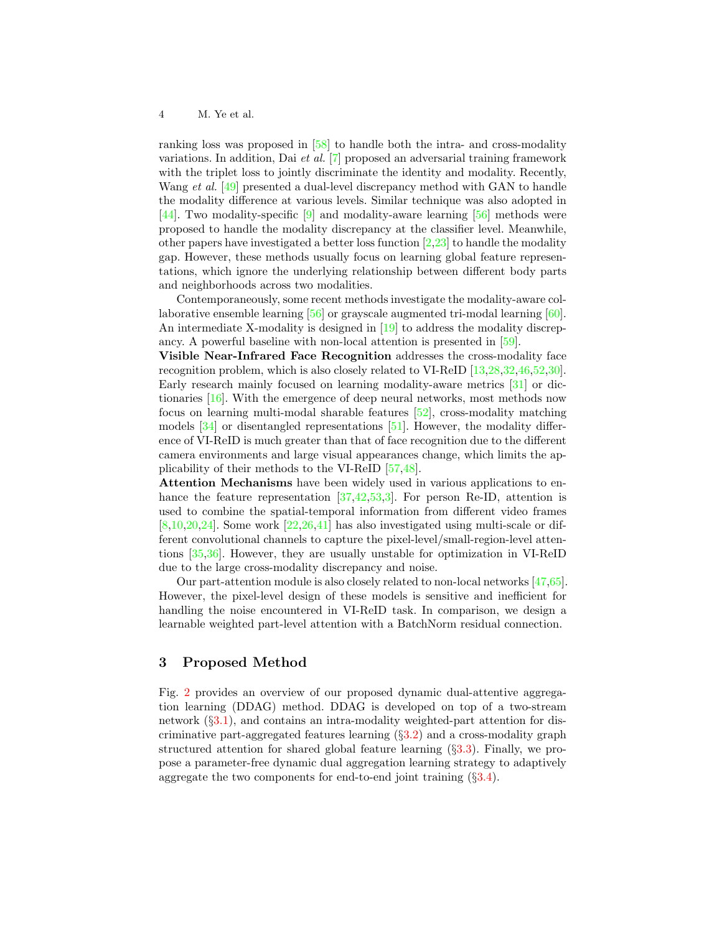ranking loss was proposed in [\[58\]](#page-16-2) to handle both the intra- and cross-modality variations. In addition, Dai et al. [\[7\]](#page-14-1) proposed an adversarial training framework with the triplet loss to jointly discriminate the identity and modality. Recently, Wang *et al.* [\[49\]](#page-16-6) presented a dual-level discrepancy method with GAN to handle the modality difference at various levels. Similar technique was also adopted in [\[44\]](#page-16-7). Two modality-specific [\[9\]](#page-14-2) and modality-aware learning [\[56\]](#page-16-13) methods were proposed to handle the modality discrepancy at the classifier level. Meanwhile, other papers have investigated a better loss function [\[2,](#page-14-10)[23\]](#page-15-4) to handle the modality gap. However, these methods usually focus on learning global feature representations, which ignore the underlying relationship between different body parts and neighborhoods across two modalities.

Contemporaneously, some recent methods investigate the modality-aware collaborative ensemble learning [\[56\]](#page-16-13) or grayscale augmented tri-modal learning [\[60\]](#page-16-14). An intermediate X-modality is designed in [\[19\]](#page-14-11) to address the modality discrepancy. A powerful baseline with non-local attention is presented in [\[59\]](#page-16-0).

Visible Near-Infrared Face Recognition addresses the cross-modality face recognition problem, which is also closely related to VI-ReID [\[13](#page-14-12)[,28,](#page-15-2)[32,](#page-15-5)[46,](#page-16-15)[52,](#page-16-3)[30\]](#page-15-6). Early research mainly focused on learning modality-aware metrics [\[31\]](#page-15-7) or dictionaries [\[16\]](#page-14-13). With the emergence of deep neural networks, most methods now focus on learning multi-modal sharable features [\[52\]](#page-16-3), cross-modality matching models [\[34\]](#page-15-8) or disentangled representations [\[51\]](#page-16-16). However, the modality difference of VI-ReID is much greater than that of face recognition due to the different camera environments and large visual appearances change, which limits the applicability of their methods to the VI-ReID [\[57](#page-16-11)[,48\]](#page-16-17).

Attention Mechanisms have been widely used in various applications to enhance the feature representation  $[37,42,53,3]$  $[37,42,53,3]$  $[37,42,53,3]$  $[37,42,53,3]$ . For person Re-ID, attention is used to combine the spatial-temporal information from different video frames  $[8,10,20,24]$  $[8,10,20,24]$  $[8,10,20,24]$  $[8,10,20,24]$ . Some work  $[22,26,41]$  $[22,26,41]$  $[22,26,41]$  has also investigated using multi-scale or different convolutional channels to capture the pixel-level/small-region-level attentions [\[35,](#page-15-14)[36\]](#page-15-15). However, they are usually unstable for optimization in VI-ReID due to the large cross-modality discrepancy and noise.

Our part-attention module is also closely related to non-local networks [\[47,](#page-16-8)[65\]](#page-17-3). However, the pixel-level design of these models is sensitive and inefficient for handling the noise encountered in VI-ReID task. In comparison, we design a learnable weighted part-level attention with a BatchNorm residual connection.

## 3 Proposed Method

Fig. [2](#page-4-0) provides an overview of our proposed dynamic dual-attentive aggregation learning (DDAG) method. DDAG is developed on top of a two-stream network (§[3.1\)](#page-4-1), and contains an intra-modality weighted-part attention for discriminative part-aggregated features learning (§[3.2\)](#page-4-2) and a cross-modality graph structured attention for shared global feature learning (§[3.3\)](#page-6-0). Finally, we propose a parameter-free dynamic dual aggregation learning strategy to adaptively aggregate the two components for end-to-end joint training (§[3.4\)](#page-8-0).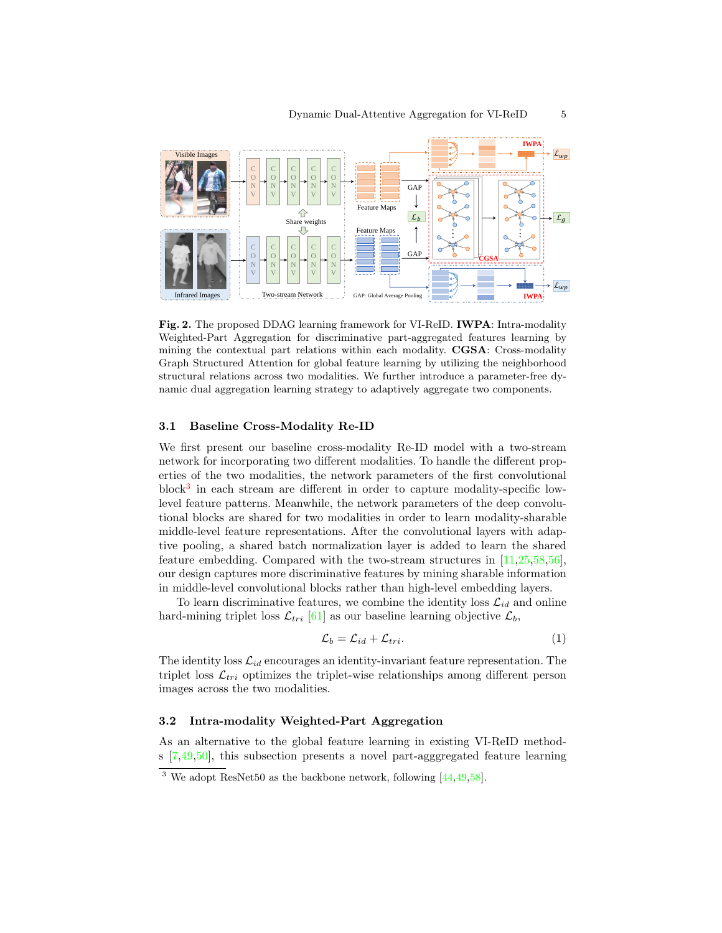

<span id="page-4-0"></span>Fig. 2. The proposed DDAG learning framework for VI-ReID. IWPA: Intra-modality Weighted-Part Aggregation for discriminative part-aggregated features learning by mining the contextual part relations within each modality. CGSA: Cross-modality Graph Structured Attention for global feature learning by utilizing the neighborhood structural relations across two modalities. We further introduce a parameter-free dynamic dual aggregation learning strategy to adaptively aggregate two components.

## <span id="page-4-1"></span>3.1 Baseline Cross-Modality Re-ID

We first present our baseline cross-modality Re-ID model with a two-stream network for incorporating two different modalities. To handle the different properties of the two modalities, the network parameters of the first convolutional block<sup>[3](#page-4-3)</sup> in each stream are different in order to capture modality-specific lowlevel feature patterns. Meanwhile, the network parameters of the deep convolutional blocks are shared for two modalities in order to learn modality-sharable middle-level feature representations. After the convolutional layers with adaptive pooling, a shared batch normalization layer is added to learn the shared feature embedding. Compared with the two-stream structures in [\[11,](#page-14-18)[25,](#page-15-16)[58,](#page-16-2)[56\]](#page-16-13), our design captures more discriminative features by mining sharable information in middle-level convolutional blocks rather than high-level embedding layers.

To learn discriminative features, we combine the identity loss  $\mathcal{L}_{id}$  and online hard-mining triplet loss  $\mathcal{L}_{tri}$  [\[61\]](#page-16-19) as our baseline learning objective  $\mathcal{L}_b$ ,

$$
\mathcal{L}_b = \mathcal{L}_{id} + \mathcal{L}_{tri}.\tag{1}
$$

The identity loss  $\mathcal{L}_{id}$  encourages an identity-invariant feature representation. The triplet loss  $\mathcal{L}_{tri}$  optimizes the triplet-wise relationships among different person images across the two modalities.

## <span id="page-4-2"></span>3.2 Intra-modality Weighted-Part Aggregation

As an alternative to the global feature learning in existing VI-ReID methods [\[7,](#page-14-1)[49](#page-16-6)[,50\]](#page-16-1), this subsection presents a novel part-agggregated feature learning

<span id="page-4-3"></span><sup>&</sup>lt;sup>3</sup> We adopt ResNet50 as the backbone network, following  $[44, 49, 58]$  $[44, 49, 58]$  $[44, 49, 58]$  $[44, 49, 58]$  $[44, 49, 58]$ .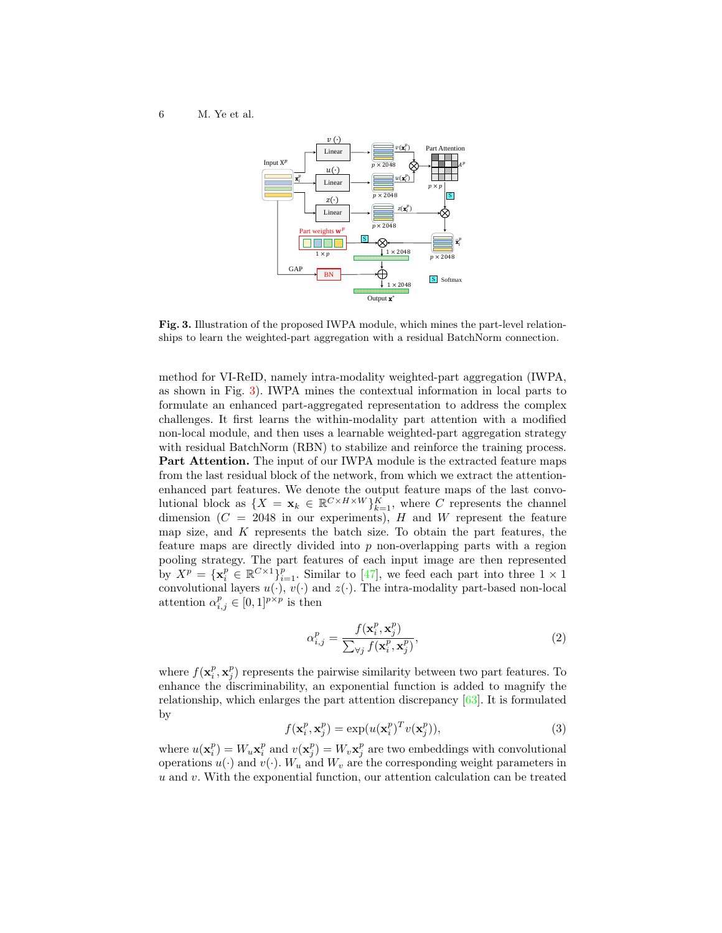

<span id="page-5-0"></span>Fig. 3. Illustration of the proposed IWPA module, which mines the part-level relationships to learn the weighted-part aggregation with a residual BatchNorm connection.

method for VI-ReID, namely intra-modality weighted-part aggregation (IWPA, as shown in Fig. [3\)](#page-5-0). IWPA mines the contextual information in local parts to formulate an enhanced part-aggregated representation to address the complex challenges. It first learns the within-modality part attention with a modified non-local module, and then uses a learnable weighted-part aggregation strategy with residual BatchNorm (RBN) to stabilize and reinforce the training process. Part Attention. The input of our IWPA module is the extracted feature maps from the last residual block of the network, from which we extract the attentionenhanced part features. We denote the output feature maps of the last convolutional block as  $\{X = \mathbf{x}_k \in \mathbb{R}^{C \times H \times W}\}_{k=1}^K$ , where C represents the channel dimension  $(C = 2048$  in our experiments), H and W represent the feature map size, and  $K$  represents the batch size. To obtain the part features, the feature maps are directly divided into p non-overlapping parts with a region pooling strategy. The part features of each input image are then represented by  $X^p = {\mathbf{x}_i^p \in \mathbb{R}^{C \times 1}}_{i=1}^p$ . Similar to [\[47\]](#page-16-8), we feed each part into three  $1 \times 1$ convolutional layers  $u(\cdot)$ ,  $v(\cdot)$  and  $z(\cdot)$ . The intra-modality part-based non-local attention  $\alpha_{i,j}^p \in [0,1]^{p \times p}$  is then

$$
\alpha_{i,j}^p = \frac{f(\mathbf{x}_i^p, \mathbf{x}_j^p)}{\sum_{\forall j} f(\mathbf{x}_i^p, \mathbf{x}_j^p)},
$$
\n(2)

where  $f(\mathbf{x}_i^p, \mathbf{x}_j^p)$  represents the pairwise similarity between two part features. To enhance the discriminability, an exponential function is added to magnify the relationship, which enlarges the part attention discrepancy [\[63\]](#page-16-20). It is formulated by

$$
f(\mathbf{x}_i^p, \mathbf{x}_j^p) = \exp(u(\mathbf{x}_i^p)^T v(\mathbf{x}_j^p)),\tag{3}
$$

where  $u(\mathbf{x}_i^p) = W_u \mathbf{x}_i^p$  and  $v(\mathbf{x}_j^p) = W_v \mathbf{x}_j^p$  are two embeddings with convolutional operations  $u(\cdot)$  and  $v(\cdot)$ .  $W_u$  and  $W_v$  are the corresponding weight parameters in  $u$  and  $v$ . With the exponential function, our attention calculation can be treated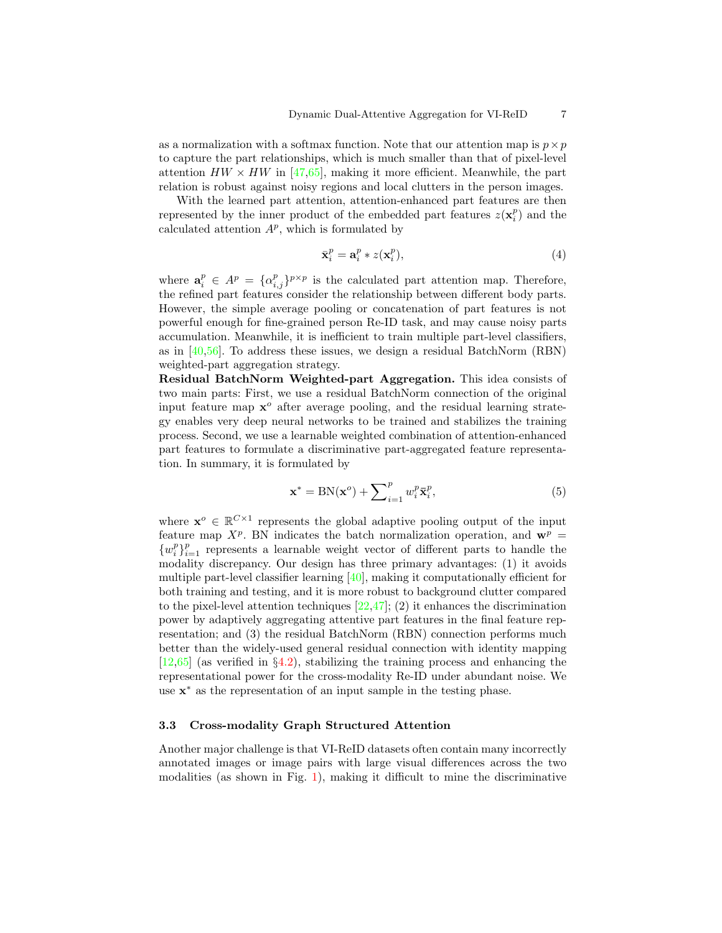as a normalization with a softmax function. Note that our attention map is  $p \times p$ to capture the part relationships, which is much smaller than that of pixel-level attention  $HW \times HW$  in [\[47,](#page-16-8)[65\]](#page-17-3), making it more efficient. Meanwhile, the part relation is robust against noisy regions and local clutters in the person images.

With the learned part attention, attention-enhanced part features are then represented by the inner product of the embedded part features  $z(\mathbf{x}_i^p)$  and the calculated attention  $A^p$ , which is formulated by

<span id="page-6-2"></span>
$$
\bar{\mathbf{x}}_i^p = \mathbf{a}_i^p * z(\mathbf{x}_i^p),\tag{4}
$$

where  $\mathbf{a}_i^p \in A^p = {\alpha_{i,j}^p}^{p \times p}$  is the calculated part attention map. Therefore, the refined part features consider the relationship between different body parts. However, the simple average pooling or concatenation of part features is not powerful enough for fine-grained person Re-ID task, and may cause noisy parts accumulation. Meanwhile, it is inefficient to train multiple part-level classifiers, as in [\[40,](#page-15-0)[56\]](#page-16-13). To address these issues, we design a residual BatchNorm (RBN) weighted-part aggregation strategy.

Residual BatchNorm Weighted-part Aggregation. This idea consists of two main parts: First, we use a residual BatchNorm connection of the original input feature map  $x^o$  after average pooling, and the residual learning strategy enables very deep neural networks to be trained and stabilizes the training process. Second, we use a learnable weighted combination of attention-enhanced part features to formulate a discriminative part-aggregated feature representation. In summary, it is formulated by

<span id="page-6-1"></span>
$$
\mathbf{x}^* = \text{BN}(\mathbf{x}^o) + \sum_{i=1}^p w_i^p \bar{\mathbf{x}}_i^p,\tag{5}
$$

where  $\mathbf{x}^o \in \mathbb{R}^{C \times 1}$  represents the global adaptive pooling output of the input feature map  $X^p$ . BN indicates the batch normalization operation, and  $\mathbf{w}^p$  =  $\{w_i^p\}_{i=1}^p$  represents a learnable weight vector of different parts to handle the modality discrepancy. Our design has three primary advantages: (1) it avoids multiple part-level classifier learning  $[40]$ , making it computationally efficient for both training and testing, and it is more robust to background clutter compared to the pixel-level attention techniques  $[22,47]$  $[22,47]$ ; (2) it enhances the discrimination power by adaptively aggregating attentive part features in the final feature representation; and (3) the residual BatchNorm (RBN) connection performs much better than the widely-used general residual connection with identity mapping  $[12,65]$  $[12,65]$  (as verified in  $\S4.2$ ), stabilizing the training process and enhancing the representational power for the cross-modality Re-ID under abundant noise. We use x <sup>∗</sup> as the representation of an input sample in the testing phase.

## <span id="page-6-0"></span>3.3 Cross-modality Graph Structured Attention

Another major challenge is that VI-ReID datasets often contain many incorrectly annotated images or image pairs with large visual differences across the two modalities (as shown in Fig. [1\)](#page-1-0), making it difficult to mine the discriminative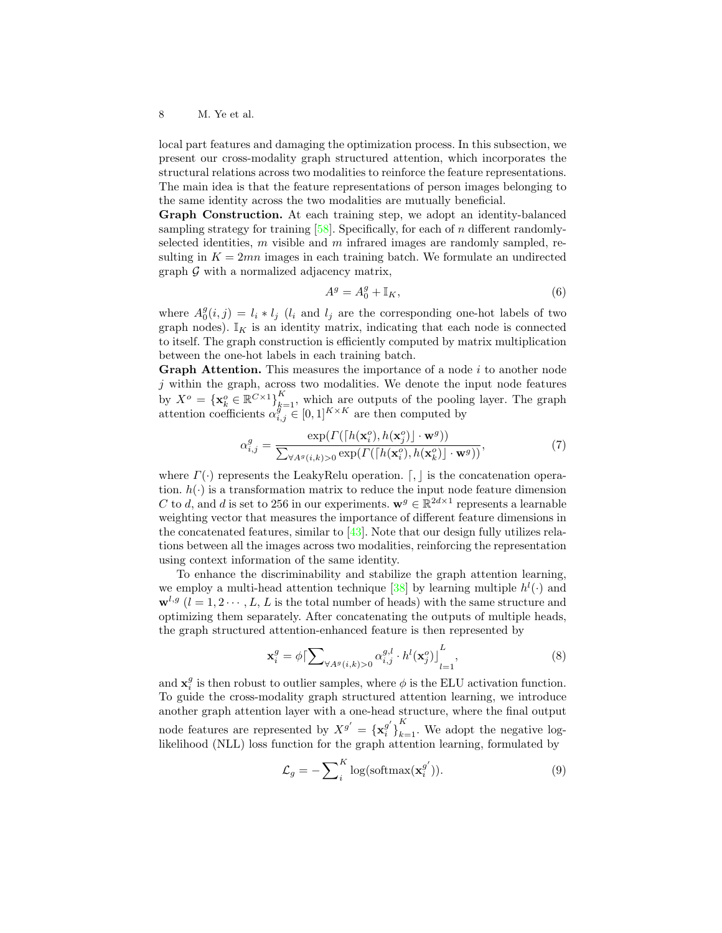local part features and damaging the optimization process. In this subsection, we present our cross-modality graph structured attention, which incorporates the structural relations across two modalities to reinforce the feature representations. The main idea is that the feature representations of person images belonging to the same identity across the two modalities are mutually beneficial.

Graph Construction. At each training step, we adopt an identity-balanced sampling strategy for training  $[58]$ . Specifically, for each of n different randomlyselected identities,  $m$  visible and  $m$  infrared images are randomly sampled, resulting in  $K = 2mn$  images in each training batch. We formulate an undirected graph  $\mathcal G$  with a normalized adjacency matrix,

$$
A^g = A_0^g + \mathbb{I}_K,\tag{6}
$$

where  $A_0^g(i, j) = l_i * l_j$  ( $l_i$  and  $l_j$  are the corresponding one-hot labels of two graph nodes).  $\mathbb{I}_K$  is an identity matrix, indicating that each node is connected to itself. The graph construction is efficiently computed by matrix multiplication between the one-hot labels in each training batch.

**Graph Attention.** This measures the importance of a node  $i$  to another node  $j$  within the graph, across two modalities. We denote the input node features by  $X^o = {\{\mathbf{x}_{k}^o \in \mathbb{R}^{C\times 1}\}}_{k=1}^K$ , which are outputs of the pooling layer. The graph attention coefficients  $\alpha_{i,j}^{g^{-1}} \in [0,1]^{K \times K}$  are then computed by

$$
\alpha_{i,j}^{g} = \frac{\exp(\Gamma([h(\mathbf{x}_i^{o}), h(\mathbf{x}_j^{o})] \cdot \mathbf{w}^{g}))}{\sum_{\forall A^{g}(i,k)>0} \exp(\Gamma([h(\mathbf{x}_i^{o}), h(\mathbf{x}_k^{o})] \cdot \mathbf{w}^{g}))},
$$
\n(7)

where  $\Gamma(\cdot)$  represents the LeakyRelu operation.  $\lceil \cdot \rceil$  is the concatenation operation.  $h(\cdot)$  is a transformation matrix to reduce the input node feature dimension C to d, and d is set to 256 in our experiments.  $\mathbf{w}^g \in \mathbb{R}^{2d \times 1}$  represents a learnable weighting vector that measures the importance of different feature dimensions in the concatenated features, similar to  $[43]$ . Note that our design fully utilizes relations between all the images across two modalities, reinforcing the representation using context information of the same identity.

To enhance the discriminability and stabilize the graph attention learning, we employ a multi-head attention technique [\[38\]](#page-15-17) by learning multiple  $h^{l}(\cdot)$  and  $\mathbf{w}^{l,g}$   $(l = 1, 2 \cdots, L, L$  is the total number of heads) with the same structure and optimizing them separately. After concatenating the outputs of multiple heads, the graph structured attention-enhanced feature is then represented by

<span id="page-7-0"></span>
$$
\mathbf{x}_{i}^{g} = \phi \left[ \sum_{\forall A^{g}(i,k)>0} \alpha_{i,j}^{g,l} \cdot h^{l}(\mathbf{x}_{j}^{o}) \right]_{l=1}^{L},\tag{8}
$$

and  $\mathbf{x}_i^g$  is then robust to outlier samples, where  $\phi$  is the ELU activation function. To guide the cross-modality graph structured attention learning, we introduce another graph attention layer with a one-head structure, where the final output node features are represented by  $X^{g'} = {\mathbf{x}_i^{g'}}$  $g'_{i}$ <sub>k=1</sub>. We adopt the negative loglikelihood (NLL) loss function for the graph attention learning, formulated by

$$
\mathcal{L}_g = -\sum_{i}^{K} \log(\text{softmax}(\mathbf{x}_i^{g'})).
$$
\n(9)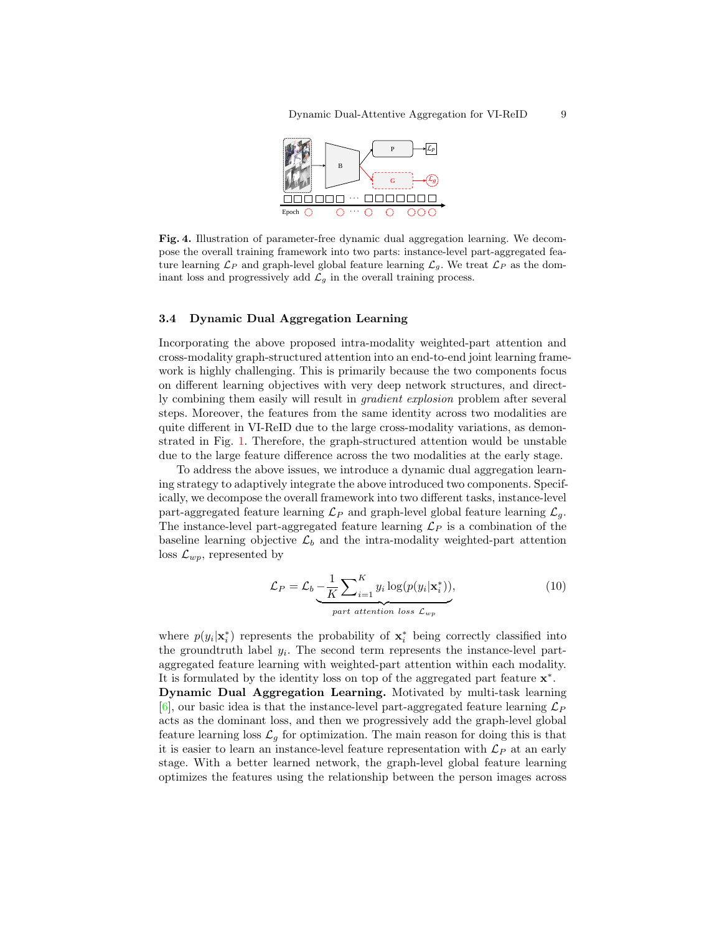

<span id="page-8-1"></span>Fig. 4. Illustration of parameter-free dynamic dual aggregation learning. We decompose the overall training framework into two parts: instance-level part-aggregated feature learning  $\mathcal{L}_P$  and graph-level global feature learning  $\mathcal{L}_g$ . We treat  $\mathcal{L}_P$  as the dominant loss and progressively add  $\mathcal{L}_g$  in the overall training process.

#### <span id="page-8-0"></span>3.4 Dynamic Dual Aggregation Learning

Incorporating the above proposed intra-modality weighted-part attention and cross-modality graph-structured attention into an end-to-end joint learning framework is highly challenging. This is primarily because the two components focus on different learning objectives with very deep network structures, and directly combining them easily will result in gradient explosion problem after several steps. Moreover, the features from the same identity across two modalities are quite different in VI-ReID due to the large cross-modality variations, as demonstrated in Fig. [1.](#page-1-0) Therefore, the graph-structured attention would be unstable due to the large feature difference across the two modalities at the early stage.

To address the above issues, we introduce a dynamic dual aggregation learning strategy to adaptively integrate the above introduced two components. Specifically, we decompose the overall framework into two different tasks, instance-level part-aggregated feature learning  $\mathcal{L}_P$  and graph-level global feature learning  $\mathcal{L}_q$ . The instance-level part-aggregated feature learning  $\mathcal{L}_P$  is a combination of the baseline learning objective  $\mathcal{L}_b$  and the intra-modality weighted-part attention loss  $\mathcal{L}_{wp}$ , represented by

$$
\mathcal{L}_P = \mathcal{L}_b - \frac{1}{K} \sum_{i=1}^K y_i \log(p(y_i|\mathbf{x}_i^*)),
$$
\n
$$
part \text{ attention loss } \mathcal{L}_{wp}
$$
\n(10)

where  $p(y_i|\mathbf{x}_i^*)$  represents the probability of  $\mathbf{x}_i^*$  being correctly classified into the groundtruth label  $y_i$ . The second term represents the instance-level partaggregated feature learning with weighted-part attention within each modality. It is formulated by the identity loss on top of the aggregated part feature  $\mathbf{x}^*$ .

Dynamic Dual Aggregation Learning. Motivated by multi-task learning [\[6\]](#page-14-20), our basic idea is that the instance-level part-aggregated feature learning  $\mathcal{L}_P$ acts as the dominant loss, and then we progressively add the graph-level global feature learning loss  $\mathcal{L}_g$  for optimization. The main reason for doing this is that it is easier to learn an instance-level feature representation with  $\mathcal{L}_P$  at an early stage. With a better learned network, the graph-level global feature learning optimizes the features using the relationship between the person images across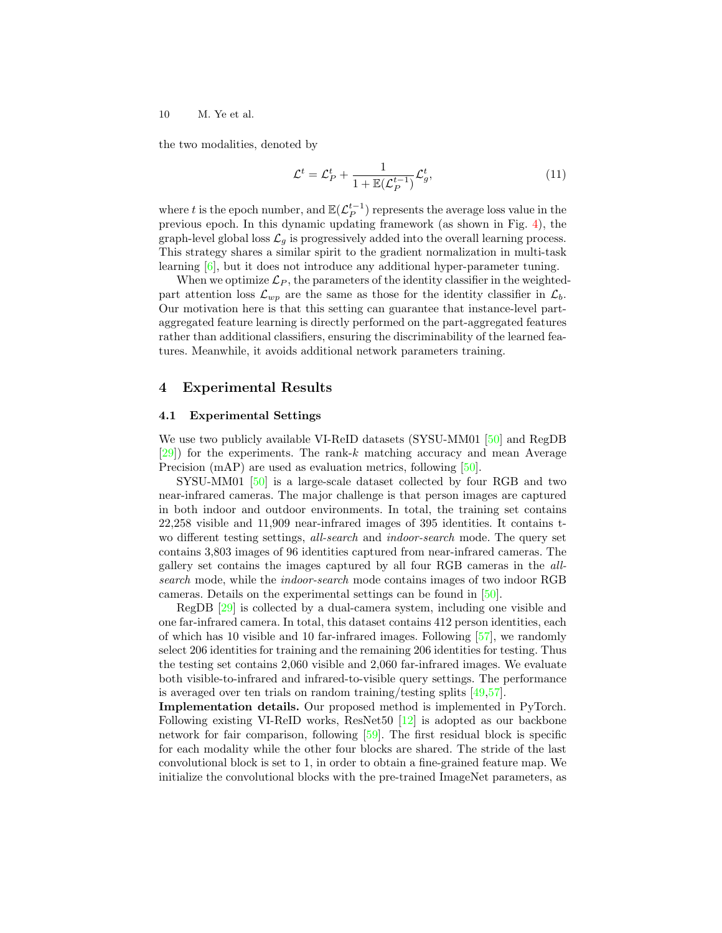the two modalities, denoted by

$$
\mathcal{L}^t = \mathcal{L}_P^t + \frac{1}{1 + \mathbb{E}(\mathcal{L}_P^{t-1})} \mathcal{L}_g^t,\tag{11}
$$

where t is the epoch number, and  $\mathbb{E}(\mathcal{L}_P^{t-1})$  represents the average loss value in the previous epoch. In this dynamic updating framework (as shown in Fig. [4\)](#page-8-1), the graph-level global loss  $\mathcal{L}_g$  is progressively added into the overall learning process. This strategy shares a similar spirit to the gradient normalization in multi-task learning [\[6\]](#page-14-20), but it does not introduce any additional hyper-parameter tuning.

When we optimize  $\mathcal{L}_P$ , the parameters of the identity classifier in the weightedpart attention loss  $\mathcal{L}_{wp}$  are the same as those for the identity classifier in  $\mathcal{L}_b$ . Our motivation here is that this setting can guarantee that instance-level partaggregated feature learning is directly performed on the part-aggregated features rather than additional classifiers, ensuring the discriminability of the learned features. Meanwhile, it avoids additional network parameters training.

## 4 Experimental Results

#### 4.1 Experimental Settings

We use two publicly available VI-ReID datasets (SYSU-MM01 [\[50\]](#page-16-1) and RegDB  $[29]$ ) for the experiments. The rank-k matching accuracy and mean Average Precision (mAP) are used as evaluation metrics, following [\[50\]](#page-16-1).

SYSU-MM01 [\[50\]](#page-16-1) is a large-scale dataset collected by four RGB and two near-infrared cameras. The major challenge is that person images are captured in both indoor and outdoor environments. In total, the training set contains 22,258 visible and 11,909 near-infrared images of 395 identities. It contains two different testing settings, all-search and indoor-search mode. The query set contains 3,803 images of 96 identities captured from near-infrared cameras. The gallery set contains the images captured by all four RGB cameras in the allsearch mode, while the indoor-search mode contains images of two indoor RGB cameras. Details on the experimental settings can be found in [\[50\]](#page-16-1).

RegDB [\[29\]](#page-15-1) is collected by a dual-camera system, including one visible and one far-infrared camera. In total, this dataset contains 412 person identities, each of which has 10 visible and 10 far-infrared images. Following [\[57\]](#page-16-11), we randomly select 206 identities for training and the remaining 206 identities for testing. Thus the testing set contains 2,060 visible and 2,060 far-infrared images. We evaluate both visible-to-infrared and infrared-to-visible query settings. The performance is averaged over ten trials on random training/testing splits [\[49,](#page-16-6)[57\]](#page-16-11).

Implementation details. Our proposed method is implemented in PyTorch. Following existing VI-ReID works, ResNet50 [\[12\]](#page-14-19) is adopted as our backbone network for fair comparison, following [\[59\]](#page-16-0). The first residual block is specific for each modality while the other four blocks are shared. The stride of the last convolutional block is set to 1, in order to obtain a fine-grained feature map. We initialize the convolutional blocks with the pre-trained ImageNet parameters, as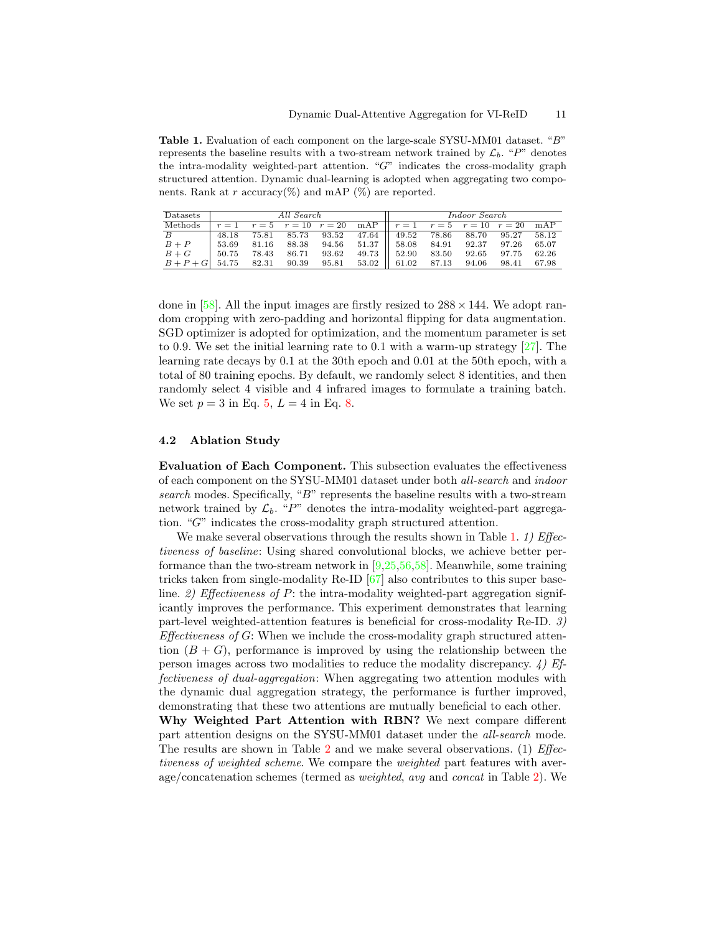<span id="page-10-1"></span>Table 1. Evaluation of each component on the large-scale SYSU-MM01 dataset. "B" represents the baseline results with a two-stream network trained by  $\mathcal{L}_b$ . "P" denotes the intra-modality weighted-part attention. "G" indicates the cross-modality graph structured attention. Dynamic dual-learning is adopted when aggregating two components. Rank at r accuracy(%) and mAP (%) are reported.

| Datasets                                                                | All Search |  |       |  |  | Indoor Search                                                               |  |  |  |  |
|-------------------------------------------------------------------------|------------|--|-------|--|--|-----------------------------------------------------------------------------|--|--|--|--|
| Methods                                                                 |            |  |       |  |  | $r = 1$ $r = 5$ $r = 10$ $r = 20$ mAP $r = 1$ $r = 5$ $r = 10$ $r = 20$ mAP |  |  |  |  |
| $\overline{B}$                                                          |            |  |       |  |  | 48.18 75.81 85.73 93.52 47.64 49.52 78.86 88.70 95.27 58.12                 |  |  |  |  |
| $B + P$                                                                 |            |  |       |  |  | $53.69$ 81.16 88.38 94.56 51.37    58.08 84.91 92.37 97.26 65.07            |  |  |  |  |
| $B+G$   50.75 78.43                                                     |            |  | 86.71 |  |  | 93.62 49.73    52.90 83.50 92.65 97.75 62.26                                |  |  |  |  |
| $B + P + G$ 54.75 82.31 90.39 95.81 53.02 61.02 87.13 94.06 98.41 67.98 |            |  |       |  |  |                                                                             |  |  |  |  |

done in [\[58\]](#page-16-2). All the input images are firstly resized to  $288 \times 144$ . We adopt random cropping with zero-padding and horizontal flipping for data augmentation. SGD optimizer is adopted for optimization, and the momentum parameter is set to 0.9. We set the initial learning rate to 0.1 with a warm-up strategy  $[27]$ . The learning rate decays by 0.1 at the 30th epoch and 0.01 at the 50th epoch, with a total of 80 training epochs. By default, we randomly select 8 identities, and then randomly select 4 visible and 4 infrared images to formulate a training batch. We set  $p = 3$  in Eq. [5,](#page-6-1)  $L = 4$  in Eq. [8.](#page-7-0)

## <span id="page-10-0"></span>4.2 Ablation Study

Evaluation of Each Component. This subsection evaluates the effectiveness of each component on the SYSU-MM01 dataset under both all-search and indoor search modes. Specifically, "B" represents the baseline results with a two-stream network trained by  $\mathcal{L}_b$ . "P" denotes the intra-modality weighted-part aggregation. "G" indicates the cross-modality graph structured attention.

We make several observations through the results shown in Table [1.](#page-10-1) 1) Effectiveness of baseline: Using shared convolutional blocks, we achieve better performance than the two-stream network in [\[9](#page-14-2)[,25,](#page-15-16)[56,](#page-16-13)[58\]](#page-16-2). Meanwhile, some training tricks taken from single-modality Re-ID [\[67\]](#page-17-1) also contributes to this super baseline. 2) Effectiveness of P: the intra-modality weighted-part aggregation significantly improves the performance. This experiment demonstrates that learning part-level weighted-attention features is beneficial for cross-modality Re-ID. 3)  $Effectiveness of G: When we include the cross-modality graph structured attention.$ tion  $(B+G)$ , performance is improved by using the relationship between the person images across two modalities to reduce the modality discrepancy.  $\downarrow$ ) Effectiveness of dual-aggregation: When aggregating two attention modules with the dynamic dual aggregation strategy, the performance is further improved, demonstrating that these two attentions are mutually beneficial to each other.

Why Weighted Part Attention with RBN? We next compare different part attention designs on the SYSU-MM01 dataset under the all-search mode. The results are shown in Table [2](#page-11-0) and we make several observations. (1) Effectiveness of weighted scheme. We compare the weighted part features with average/concatenation schemes (termed as weighted, avg and concat in Table [2\)](#page-11-0). We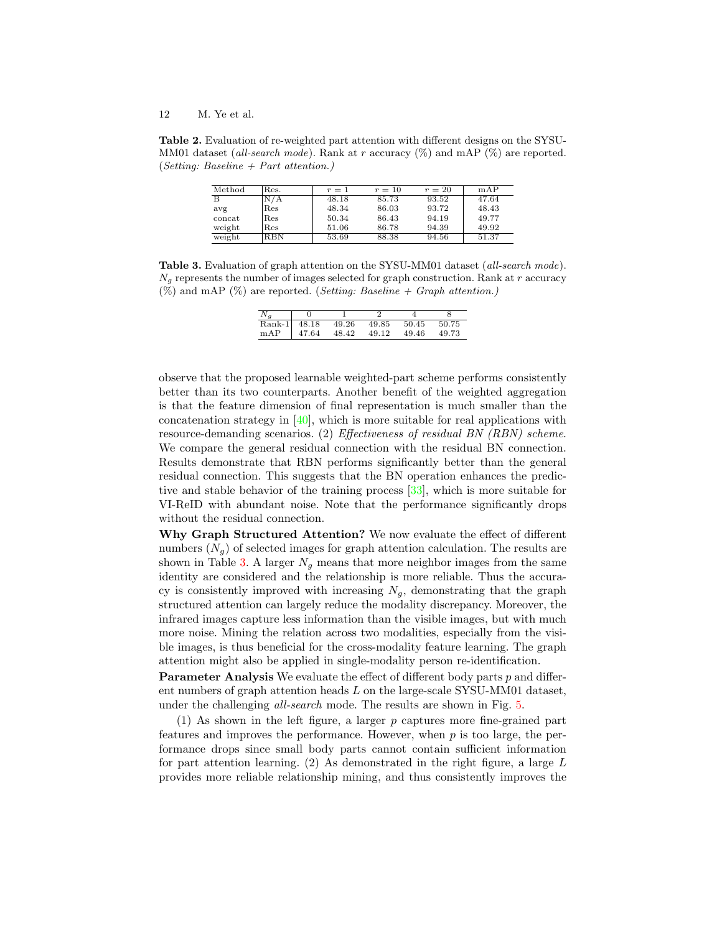<span id="page-11-0"></span>Table 2. Evaluation of re-weighted part attention with different designs on the SYSU-MM01 dataset (all-search mode). Rank at r accuracy  $(\%)$  and mAP  $(\%)$  are reported. (Setting: Baseline  $+$  Part attention.)

| Method | Res. | $r=1$ | $r=10$ | $r=20$ | mAP   |
|--------|------|-------|--------|--------|-------|
| B      | N/A  | 48.18 | 85.73  | 93.52  | 47.64 |
| avg    | Res  | 48.34 | 86.03  | 93.72  | 48.43 |
| concat | Res  | 50.34 | 86.43  | 94.19  | 49.77 |
| weight | Res  | 51.06 | 86.78  | 94.39  | 49.92 |
| weight | RBN  | 53.69 | 88.38  | 94.56  | 51.37 |

<span id="page-11-1"></span>Table 3. Evaluation of graph attention on the SYSU-MM01 dataset (all-search mode).  $N<sub>g</sub>$  represents the number of images selected for graph construction. Rank at r accuracy  $(\%)$  and mAP  $(\%)$  are reported. (*Setting: Baseline + Graph attention.*)

| $N_a$ |               |       |             |       |       |
|-------|---------------|-------|-------------|-------|-------|
|       | Rank-1 48.18  | 49.26 | 49.85 50.45 |       | 50.75 |
|       | $mAP$   47.64 | 48.42 | 49.12       | 49.46 | 49.73 |

observe that the proposed learnable weighted-part scheme performs consistently better than its two counterparts. Another benefit of the weighted aggregation is that the feature dimension of final representation is much smaller than the concatenation strategy in  $[40]$ , which is more suitable for real applications with resource-demanding scenarios. (2) Effectiveness of residual BN (RBN) scheme. We compare the general residual connection with the residual BN connection. Results demonstrate that RBN performs significantly better than the general residual connection. This suggests that the BN operation enhances the predictive and stable behavior of the training process [\[33\]](#page-15-19), which is more suitable for VI-ReID with abundant noise. Note that the performance significantly drops without the residual connection.

Why Graph Structured Attention? We now evaluate the effect of different numbers  $(N_q)$  of selected images for graph attention calculation. The results are shown in Table [3.](#page-11-1) A larger  $N<sub>g</sub>$  means that more neighbor images from the same identity are considered and the relationship is more reliable. Thus the accuracy is consistently improved with increasing  $N<sub>g</sub>$ , demonstrating that the graph structured attention can largely reduce the modality discrepancy. Moreover, the infrared images capture less information than the visible images, but with much more noise. Mining the relation across two modalities, especially from the visible images, is thus beneficial for the cross-modality feature learning. The graph attention might also be applied in single-modality person re-identification.

Parameter Analysis We evaluate the effect of different body parts p and different numbers of graph attention heads  $L$  on the large-scale SYSU-MM01 dataset, under the challenging all-search mode. The results are shown in Fig. [5.](#page-12-0)

(1) As shown in the left figure, a larger p captures more fine-grained part features and improves the performance. However, when  $p$  is too large, the performance drops since small body parts cannot contain sufficient information for part attention learning.  $(2)$  As demonstrated in the right figure, a large L provides more reliable relationship mining, and thus consistently improves the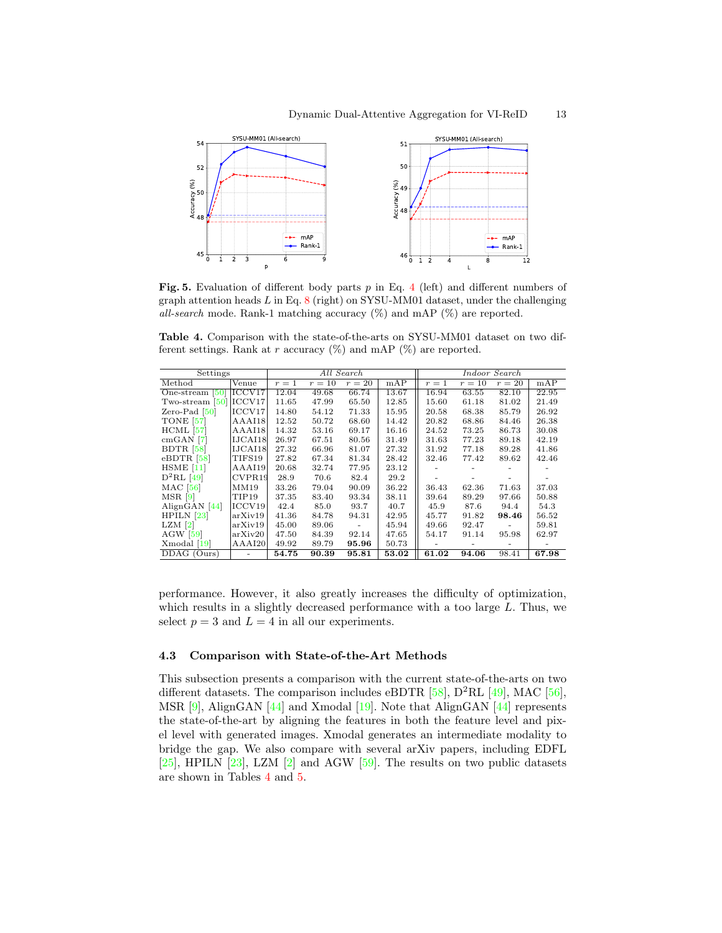

<span id="page-12-0"></span>Fig. 5. Evaluation of different body parts  $p$  in Eq. [4](#page-6-2) (left) and different numbers of graph attention heads  $L$  in Eq. [8](#page-7-0) (right) on SYSU-MM01 dataset, under the challenging all-search mode. Rank-1 matching accuracy  $(\%)$  and mAP  $(\%)$  are reported.

<span id="page-12-1"></span>Table 4. Comparison with the state-of-the-arts on SYSU-MM01 dataset on two different settings. Rank at r accuracy  $(\%)$  and mAP  $(\%)$  are reported.

| Settings                                   |                   |       | All Search | Indoor Search |       |       |        |        |       |
|--------------------------------------------|-------------------|-------|------------|---------------|-------|-------|--------|--------|-------|
| Method                                     | Venue             | $r=1$ | $r=10$     | $r=20$        | mAP   | $r=1$ | $r=10$ | $r=20$ | mAP   |
| One-stream $\lceil 50 \rceil$              | ICCV17            | 12.04 | 49.68      | 66.74         | 13.67 | 16.94 | 63.55  | 82.10  | 22.95 |
| Two-stream $[50]$                          | ICCV17            | 11.65 | 47.99      | 65.50         | 12.85 | 15.60 | 61.18  | 81.02  | 21.49 |
| Zero-Pad $[50]$                            | ICCV17            | 14.80 | 54.12      | 71.33         | 15.95 | 20.58 | 68.38  | 85.79  | 26.92 |
| <b>TONE</b> [57]                           | AAAI18            | 12.52 | 50.72      | 68.60         | 14.42 | 20.82 | 68.86  | 84.46  | 26.38 |
| $HCML$ [57]                                | AAAI18            | 14.32 | 53.16      | 69.17         | 16.16 | 24.52 | 73.25  | 86.73  | 30.08 |
| $cmGAN$ [7]                                | IJCAI18           | 26.97 | 67.51      | 80.56         | 31.49 | 31.63 | 77.23  | 89.18  | 42.19 |
| BDTR [58]                                  | IJCAI18           | 27.32 | 66.96      | 81.07         | 27.32 | 31.92 | 77.18  | 89.28  | 41.86 |
| $e$ BDTR [58]                              | TIFS19            | 27.82 | 67.34      | 81.34         | 28.42 | 32.46 | 77.42  | 89.62  | 42.46 |
| $HSME$ [11]                                | AAAI19            | 20.68 | 32.74      | 77.95         | 23.12 |       |        |        |       |
| $D^2RL$ [49]                               | CVPR19            | 28.9  | 70.6       | 82.4          | 29.2  |       |        |        |       |
| MAC [56]                                   | MM19              | 33.26 | 79.04      | 90.09         | 36.22 | 36.43 | 62.36  | 71.63  | 37.03 |
| $MSR$ [9]                                  | TIP <sub>19</sub> | 37.35 | 83.40      | 93.34         | 38.11 | 39.64 | 89.29  | 97.66  | 50.88 |
| AlignGAN $[44]$                            | ICCV19            | 42.4  | 85.0       | 93.7          | 40.7  | 45.9  | 87.6   | 94.4   | 54.3  |
| HPILN [23]                                 | arXiv19           | 41.36 | 84.78      | 94.31         | 42.95 | 45.77 | 91.82  | 98.46  | 56.52 |
| $LZM$ [2]                                  | arXiv19           | 45.00 | 89.06      |               | 45.94 | 49.66 | 92.47  |        | 59.81 |
| $AGW$ [59]                                 | arXiv20           | 47.50 | 84.39      | 92.14         | 47.65 | 54.17 | 91.14  | 95.98  | 62.97 |
| Xmodal [19]                                | AAAI20            | 49.92 | 89.79      | 95.96         | 50.73 |       |        |        |       |
| $\overline{\mathrm{DD}}\mathrm{AG}$ (Ours) | ٠                 | 54.75 | 90.39      | 95.81         | 53.02 | 61.02 | 94.06  | 98.41  | 67.98 |

performance. However, it also greatly increases the difficulty of optimization, which results in a slightly decreased performance with a too large L. Thus, we select  $p = 3$  and  $L = 4$  in all our experiments.

#### 4.3 Comparison with State-of-the-Art Methods

This subsection presents a comparison with the current state-of-the-arts on two different datasets. The comparison includes eBDTR  $[58]$ ,  $D^2RL$   $[49]$ , MAC  $[56]$ , MSR [\[9\]](#page-14-2), AlignGAN [\[44\]](#page-16-7) and Xmodal [\[19\]](#page-14-11). Note that AlignGAN [\[44\]](#page-16-7) represents the state-of-the-art by aligning the features in both the feature level and pixel level with generated images. Xmodal generates an intermediate modality to bridge the gap. We also compare with several arXiv papers, including EDFL  $[25]$ , HPILN  $[23]$ , LZM  $[2]$  and AGW  $[59]$ . The results on two public datasets are shown in Tables [4](#page-12-1) and [5.](#page-13-0)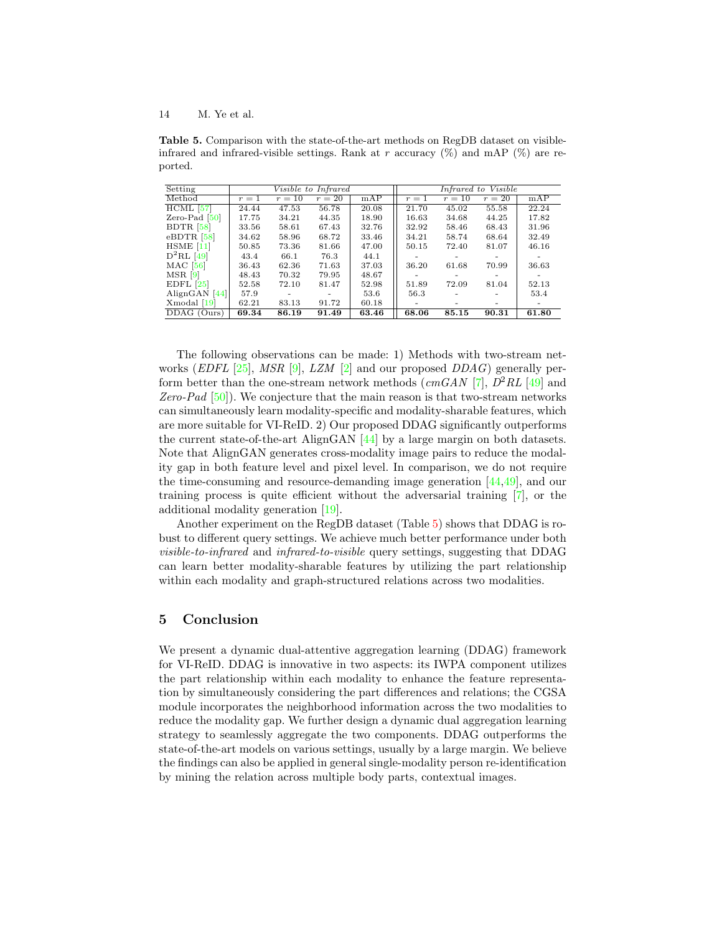<span id="page-13-0"></span>Table 5. Comparison with the state-of-the-art methods on RegDB dataset on visibleinfrared and infrared-visible settings. Rank at r accuracy  $(\%)$  and mAP  $(\%)$  are reported.

| Setting         |       |        | Visible to Infrared |       | Infrared to Visible |                          |                          |       |  |
|-----------------|-------|--------|---------------------|-------|---------------------|--------------------------|--------------------------|-------|--|
| Method          | $r=1$ | $r=10$ | $r=20$              | mAP   | $r=1$               | $r=10$                   | $r=20$                   | mAP   |  |
| $HCML$ [57]     | 24.44 | 47.53  | 56.78               | 20.08 | 21.70               | $45.\overline{02}$       | 55.58                    | 22.24 |  |
| Zero-Pad $[50]$ | 17.75 | 34.21  | 44.35               | 18.90 | 16.63               | 34.68                    | 44.25                    | 17.82 |  |
| BDTR $[58]$     | 33.56 | 58.61  | 67.43               | 32.76 | 32.92               | 58.46                    | 68.43                    | 31.96 |  |
| $e$ BDTR [58]   | 34.62 | 58.96  | 68.72               | 33.46 | 34.21               | 58.74                    | 68.64                    | 32.49 |  |
| $HSME$ [11]     | 50.85 | 73.36  | 81.66               | 47.00 | 50.15               | 72.40                    | 81.07                    | 46.16 |  |
| $D^2RL$ [49]    | 43.4  | 66.1   | 76.3                | 44.1  | ۰                   | $\overline{\phantom{a}}$ | $\overline{\phantom{a}}$ | ۰     |  |
| MAC [56]        | 36.43 | 62.36  | 71.63               | 37.03 | 36.20               | 61.68                    | 70.99                    | 36.63 |  |
| $MSR$ [9]       | 48.43 | 70.32  | 79.95               | 48.67 |                     | $\overline{\phantom{a}}$ | $\overline{\phantom{a}}$ | ۰     |  |
| $EDFL$ [25]     | 52.58 | 72.10  | 81.47               | 52.98 | 51.89               | 72.09                    | 81.04                    | 52.13 |  |
| AlignGAN [44]   | 57.9  |        | $\sim$              | 53.6  | 56.3                |                          | $\overline{\phantom{a}}$ | 53.4  |  |
| Xmodal [19]     | 62.21 | 83.13  | 91.72               | 60.18 | ۰                   |                          | $\overline{\phantom{a}}$ | ۰     |  |
| DDAG (Ours)     | 69.34 | 86.19  | 91.49               | 63.46 | 68.06               | 85.15                    | 90.31                    | 61.80 |  |

The following observations can be made: 1) Methods with two-stream networks (*EDFL* [\[25\]](#page-15-16), *MSR* [\[9\]](#page-14-2), *LZM* [\[2\]](#page-14-10) and our proposed *DDAG*) generally perform better than the one-stream network methods  $\left(\text{cmGAN} \left[7\right], \frac{D^2RL}{49} \right]$  and Zero-Pad  $[50]$ ). We conjecture that the main reason is that two-stream networks can simultaneously learn modality-specific and modality-sharable features, which are more suitable for VI-ReID. 2) Our proposed DDAG significantly outperforms the current state-of-the-art AlignGAN [\[44\]](#page-16-7) by a large margin on both datasets. Note that AlignGAN generates cross-modality image pairs to reduce the modality gap in both feature level and pixel level. In comparison, we do not require the time-consuming and resource-demanding image generation [\[44,](#page-16-7)[49\]](#page-16-6), and our training process is quite efficient without the adversarial training [\[7\]](#page-14-1), or the additional modality generation [\[19\]](#page-14-11).

Another experiment on the RegDB dataset (Table [5\)](#page-13-0) shows that DDAG is robust to different query settings. We achieve much better performance under both visible-to-infrared and infrared-to-visible query settings, suggesting that DDAG can learn better modality-sharable features by utilizing the part relationship within each modality and graph-structured relations across two modalities.

# 5 Conclusion

We present a dynamic dual-attentive aggregation learning (DDAG) framework for VI-ReID. DDAG is innovative in two aspects: its IWPA component utilizes the part relationship within each modality to enhance the feature representation by simultaneously considering the part differences and relations; the CGSA module incorporates the neighborhood information across the two modalities to reduce the modality gap. We further design a dynamic dual aggregation learning strategy to seamlessly aggregate the two components. DDAG outperforms the state-of-the-art models on various settings, usually by a large margin. We believe the findings can also be applied in general single-modality person re-identification by mining the relation across multiple body parts, contextual images.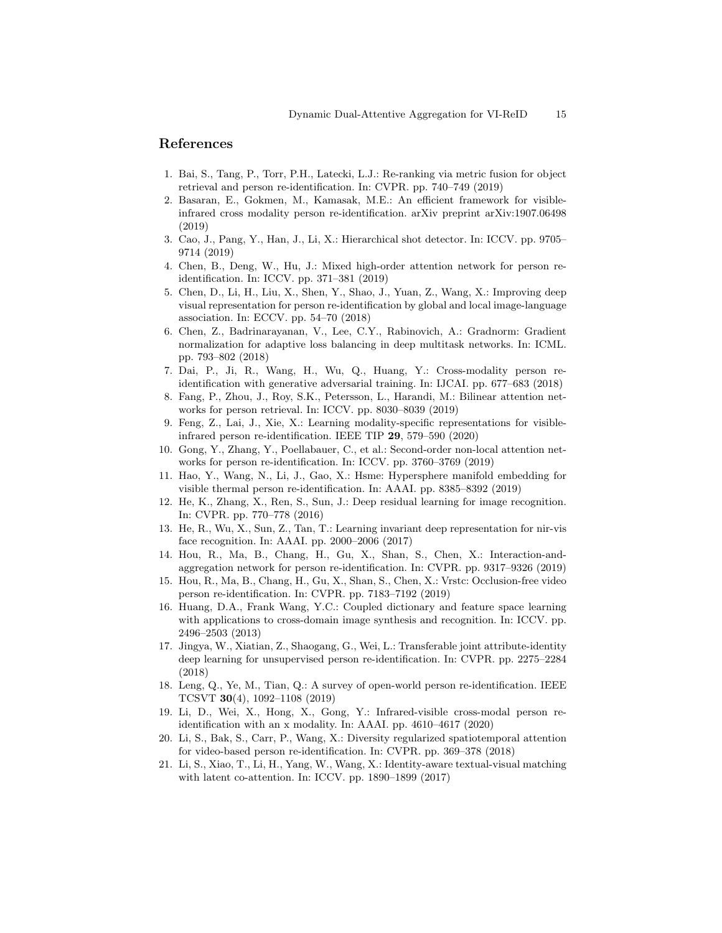## References

- <span id="page-14-4"></span>1. Bai, S., Tang, P., Torr, P.H., Latecki, L.J.: Re-ranking via metric fusion for object retrieval and person re-identification. In: CVPR. pp. 740–749 (2019)
- <span id="page-14-10"></span>2. Basaran, E., Gokmen, M., Kamasak, M.E.: An efficient framework for visibleinfrared cross modality person re-identification. arXiv preprint arXiv:1907.06498 (2019)
- <span id="page-14-14"></span>3. Cao, J., Pang, Y., Han, J., Li, X.: Hierarchical shot detector. In: ICCV. pp. 9705– 9714 (2019)
- <span id="page-14-0"></span>4. Chen, B., Deng, W., Hu, J.: Mixed high-order attention network for person reidentification. In: ICCV. pp. 371–381 (2019)
- <span id="page-14-8"></span>5. Chen, D., Li, H., Liu, X., Shen, Y., Shao, J., Yuan, Z., Wang, X.: Improving deep visual representation for person re-identification by global and local image-language association. In: ECCV. pp. 54–70 (2018)
- <span id="page-14-20"></span>6. Chen, Z., Badrinarayanan, V., Lee, C.Y., Rabinovich, A.: Gradnorm: Gradient normalization for adaptive loss balancing in deep multitask networks. In: ICML. pp. 793–802 (2018)
- <span id="page-14-1"></span>7. Dai, P., Ji, R., Wang, H., Wu, Q., Huang, Y.: Cross-modality person reidentification with generative adversarial training. In: IJCAI. pp. 677–683 (2018)
- <span id="page-14-15"></span>8. Fang, P., Zhou, J., Roy, S.K., Petersson, L., Harandi, M.: Bilinear attention networks for person retrieval. In: ICCV. pp. 8030–8039 (2019)
- <span id="page-14-2"></span>9. Feng, Z., Lai, J., Xie, X.: Learning modality-specific representations for visibleinfrared person re-identification. IEEE TIP 29, 579–590 (2020)
- <span id="page-14-16"></span>10. Gong, Y., Zhang, Y., Poellabauer, C., et al.: Second-order non-local attention networks for person re-identification. In: ICCV. pp. 3760–3769 (2019)
- <span id="page-14-18"></span>11. Hao, Y., Wang, N., Li, J., Gao, X.: Hsme: Hypersphere manifold embedding for visible thermal person re-identification. In: AAAI. pp. 8385–8392 (2019)
- <span id="page-14-19"></span>12. He, K., Zhang, X., Ren, S., Sun, J.: Deep residual learning for image recognition. In: CVPR. pp. 770–778 (2016)
- <span id="page-14-12"></span>13. He, R., Wu, X., Sun, Z., Tan, T.: Learning invariant deep representation for nir-vis face recognition. In: AAAI. pp. 2000–2006 (2017)
- <span id="page-14-5"></span>14. Hou, R., Ma, B., Chang, H., Gu, X., Shan, S., Chen, X.: Interaction-andaggregation network for person re-identification. In: CVPR. pp. 9317–9326 (2019)
- <span id="page-14-6"></span>15. Hou, R., Ma, B., Chang, H., Gu, X., Shan, S., Chen, X.: Vrstc: Occlusion-free video person re-identification. In: CVPR. pp. 7183–7192 (2019)
- <span id="page-14-13"></span>16. Huang, D.A., Frank Wang, Y.C.: Coupled dictionary and feature space learning with applications to cross-domain image synthesis and recognition. In: ICCV. pp. 2496–2503 (2013)
- <span id="page-14-7"></span>17. Jingya, W., Xiatian, Z., Shaogang, G., Wei, L.: Transferable joint attribute-identity deep learning for unsupervised person re-identification. In: CVPR. pp. 2275–2284 (2018)
- <span id="page-14-3"></span>18. Leng, Q., Ye, M., Tian, Q.: A survey of open-world person re-identification. IEEE TCSVT 30(4), 1092–1108 (2019)
- <span id="page-14-11"></span>19. Li, D., Wei, X., Hong, X., Gong, Y.: Infrared-visible cross-modal person reidentification with an x modality. In: AAAI. pp. 4610–4617 (2020)
- <span id="page-14-17"></span>20. Li, S., Bak, S., Carr, P., Wang, X.: Diversity regularized spatiotemporal attention for video-based person re-identification. In: CVPR. pp. 369–378 (2018)
- <span id="page-14-9"></span>21. Li, S., Xiao, T., Li, H., Yang, W., Wang, X.: Identity-aware textual-visual matching with latent co-attention. In: ICCV. pp. 1890–1899 (2017)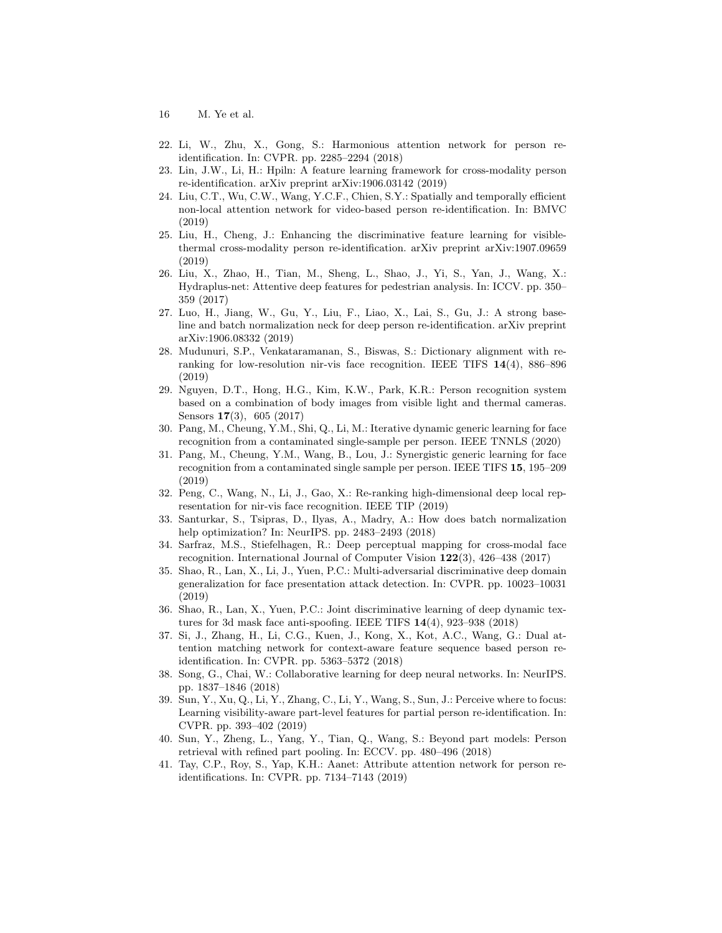- 16 M. Ye et al.
- <span id="page-15-11"></span>22. Li, W., Zhu, X., Gong, S.: Harmonious attention network for person reidentification. In: CVPR. pp. 2285–2294 (2018)
- <span id="page-15-4"></span>23. Lin, J.W., Li, H.: Hpiln: A feature learning framework for cross-modality person re-identification. arXiv preprint arXiv:1906.03142 (2019)
- <span id="page-15-10"></span>24. Liu, C.T., Wu, C.W., Wang, Y.C.F., Chien, S.Y.: Spatially and temporally efficient non-local attention network for video-based person re-identification. In: BMVC (2019)
- <span id="page-15-16"></span>25. Liu, H., Cheng, J.: Enhancing the discriminative feature learning for visiblethermal cross-modality person re-identification. arXiv preprint arXiv:1907.09659 (2019)
- <span id="page-15-12"></span>26. Liu, X., Zhao, H., Tian, M., Sheng, L., Shao, J., Yi, S., Yan, J., Wang, X.: Hydraplus-net: Attentive deep features for pedestrian analysis. In: ICCV. pp. 350– 359 (2017)
- <span id="page-15-18"></span>27. Luo, H., Jiang, W., Gu, Y., Liu, F., Liao, X., Lai, S., Gu, J.: A strong baseline and batch normalization neck for deep person re-identification. arXiv preprint arXiv:1906.08332 (2019)
- <span id="page-15-2"></span>28. Mudunuri, S.P., Venkataramanan, S., Biswas, S.: Dictionary alignment with reranking for low-resolution nir-vis face recognition. IEEE TIFS 14(4), 886–896 (2019)
- <span id="page-15-1"></span>29. Nguyen, D.T., Hong, H.G., Kim, K.W., Park, K.R.: Person recognition system based on a combination of body images from visible light and thermal cameras. Sensors 17(3), 605 (2017)
- <span id="page-15-6"></span>30. Pang, M., Cheung, Y.M., Shi, Q., Li, M.: Iterative dynamic generic learning for face recognition from a contaminated single-sample per person. IEEE TNNLS (2020)
- <span id="page-15-7"></span>31. Pang, M., Cheung, Y.M., Wang, B., Lou, J.: Synergistic generic learning for face recognition from a contaminated single sample per person. IEEE TIFS 15, 195–209 (2019)
- <span id="page-15-5"></span>32. Peng, C., Wang, N., Li, J., Gao, X.: Re-ranking high-dimensional deep local representation for nir-vis face recognition. IEEE TIP (2019)
- <span id="page-15-19"></span>33. Santurkar, S., Tsipras, D., Ilyas, A., Madry, A.: How does batch normalization help optimization? In: NeurIPS. pp. 2483–2493 (2018)
- <span id="page-15-8"></span>34. Sarfraz, M.S., Stiefelhagen, R.: Deep perceptual mapping for cross-modal face recognition. International Journal of Computer Vision 122(3), 426–438 (2017)
- <span id="page-15-14"></span>35. Shao, R., Lan, X., Li, J., Yuen, P.C.: Multi-adversarial discriminative deep domain generalization for face presentation attack detection. In: CVPR. pp. 10023–10031 (2019)
- <span id="page-15-15"></span>36. Shao, R., Lan, X., Yuen, P.C.: Joint discriminative learning of deep dynamic textures for 3d mask face anti-spoofing. IEEE TIFS 14(4), 923–938 (2018)
- <span id="page-15-9"></span>37. Si, J., Zhang, H., Li, C.G., Kuen, J., Kong, X., Kot, A.C., Wang, G.: Dual attention matching network for context-aware feature sequence based person reidentification. In: CVPR. pp. 5363–5372 (2018)
- <span id="page-15-17"></span>38. Song, G., Chai, W.: Collaborative learning for deep neural networks. In: NeurIPS. pp. 1837–1846 (2018)
- <span id="page-15-3"></span>39. Sun, Y., Xu, Q., Li, Y., Zhang, C., Li, Y., Wang, S., Sun, J.: Perceive where to focus: Learning visibility-aware part-level features for partial person re-identification. In: CVPR. pp. 393–402 (2019)
- <span id="page-15-0"></span>40. Sun, Y., Zheng, L., Yang, Y., Tian, Q., Wang, S.: Beyond part models: Person retrieval with refined part pooling. In: ECCV. pp. 480–496 (2018)
- <span id="page-15-13"></span>41. Tay, C.P., Roy, S., Yap, K.H.: Aanet: Attribute attention network for person reidentifications. In: CVPR. pp. 7134–7143 (2019)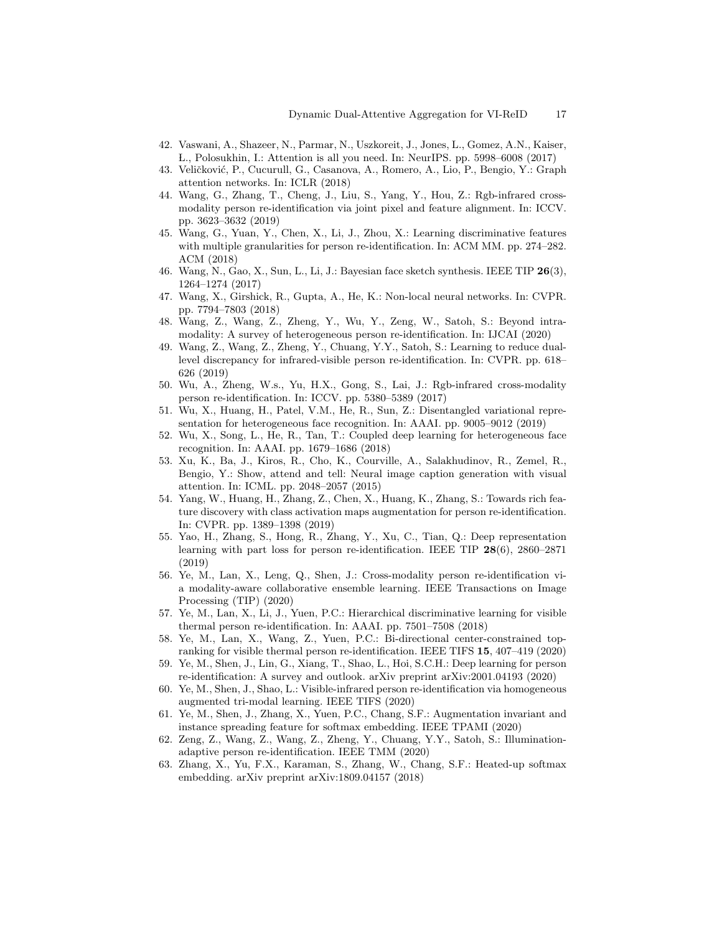- <span id="page-16-9"></span>42. Vaswani, A., Shazeer, N., Parmar, N., Uszkoreit, J., Jones, L., Gomez, A.N., Kaiser, L., Polosukhin, I.: Attention is all you need. In: NeurIPS. pp. 5998–6008 (2017)
- <span id="page-16-21"></span>43. Veličković, P., Cucurull, G., Casanova, A., Romero, A., Lio, P., Bengio, Y.: Graph attention networks. In: ICLR (2018)
- <span id="page-16-7"></span>44. Wang, G., Zhang, T., Cheng, J., Liu, S., Yang, Y., Hou, Z.: Rgb-infrared crossmodality person re-identification via joint pixel and feature alignment. In: ICCV. pp. 3623–3632 (2019)
- <span id="page-16-4"></span>45. Wang, G., Yuan, Y., Chen, X., Li, J., Zhou, X.: Learning discriminative features with multiple granularities for person re-identification. In: ACM MM. pp. 274–282. ACM (2018)
- <span id="page-16-15"></span>46. Wang, N., Gao, X., Sun, L., Li, J.: Bayesian face sketch synthesis. IEEE TIP 26(3), 1264–1274 (2017)
- <span id="page-16-8"></span>47. Wang, X., Girshick, R., Gupta, A., He, K.: Non-local neural networks. In: CVPR. pp. 7794–7803 (2018)
- <span id="page-16-17"></span>48. Wang, Z., Wang, Z., Zheng, Y., Wu, Y., Zeng, W., Satoh, S.: Beyond intramodality: A survey of heterogeneous person re-identification. In: IJCAI (2020)
- <span id="page-16-6"></span>49. Wang, Z., Wang, Z., Zheng, Y., Chuang, Y.Y., Satoh, S.: Learning to reduce duallevel discrepancy for infrared-visible person re-identification. In: CVPR. pp. 618– 626 (2019)
- <span id="page-16-1"></span>50. Wu, A., Zheng, W.s., Yu, H.X., Gong, S., Lai, J.: Rgb-infrared cross-modality person re-identification. In: ICCV. pp. 5380–5389 (2017)
- <span id="page-16-16"></span>51. Wu, X., Huang, H., Patel, V.M., He, R., Sun, Z.: Disentangled variational representation for heterogeneous face recognition. In: AAAI. pp. 9005–9012 (2019)
- <span id="page-16-3"></span>52. Wu, X., Song, L., He, R., Tan, T.: Coupled deep learning for heterogeneous face recognition. In: AAAI. pp. 1679–1686 (2018)
- <span id="page-16-18"></span>53. Xu, K., Ba, J., Kiros, R., Cho, K., Courville, A., Salakhudinov, R., Zemel, R., Bengio, Y.: Show, attend and tell: Neural image caption generation with visual attention. In: ICML. pp. 2048–2057 (2015)
- <span id="page-16-10"></span>54. Yang, W., Huang, H., Zhang, Z., Chen, X., Huang, K., Zhang, S.: Towards rich feature discovery with class activation maps augmentation for person re-identification. In: CVPR. pp. 1389–1398 (2019)
- <span id="page-16-5"></span>55. Yao, H., Zhang, S., Hong, R., Zhang, Y., Xu, C., Tian, Q.: Deep representation learning with part loss for person re-identification. IEEE TIP 28(6), 2860–2871 (2019)
- <span id="page-16-13"></span>56. Ye, M., Lan, X., Leng, Q., Shen, J.: Cross-modality person re-identification via modality-aware collaborative ensemble learning. IEEE Transactions on Image Processing (TIP) (2020)
- <span id="page-16-11"></span>57. Ye, M., Lan, X., Li, J., Yuen, P.C.: Hierarchical discriminative learning for visible thermal person re-identification. In: AAAI. pp. 7501–7508 (2018)
- <span id="page-16-2"></span>58. Ye, M., Lan, X., Wang, Z., Yuen, P.C.: Bi-directional center-constrained topranking for visible thermal person re-identification. IEEE TIFS 15, 407–419 (2020)
- <span id="page-16-0"></span>59. Ye, M., Shen, J., Lin, G., Xiang, T., Shao, L., Hoi, S.C.H.: Deep learning for person re-identification: A survey and outlook. arXiv preprint arXiv:2001.04193 (2020)
- <span id="page-16-14"></span>60. Ye, M., Shen, J., Shao, L.: Visible-infrared person re-identification via homogeneous augmented tri-modal learning. IEEE TIFS (2020)
- <span id="page-16-19"></span>61. Ye, M., Shen, J., Zhang, X., Yuen, P.C., Chang, S.F.: Augmentation invariant and instance spreading feature for softmax embedding. IEEE TPAMI (2020)
- <span id="page-16-12"></span>62. Zeng, Z., Wang, Z., Wang, Z., Zheng, Y., Chuang, Y.Y., Satoh, S.: Illuminationadaptive person re-identification. IEEE TMM (2020)
- <span id="page-16-20"></span>63. Zhang, X., Yu, F.X., Karaman, S., Zhang, W., Chang, S.F.: Heated-up softmax embedding. arXiv preprint arXiv:1809.04157 (2018)